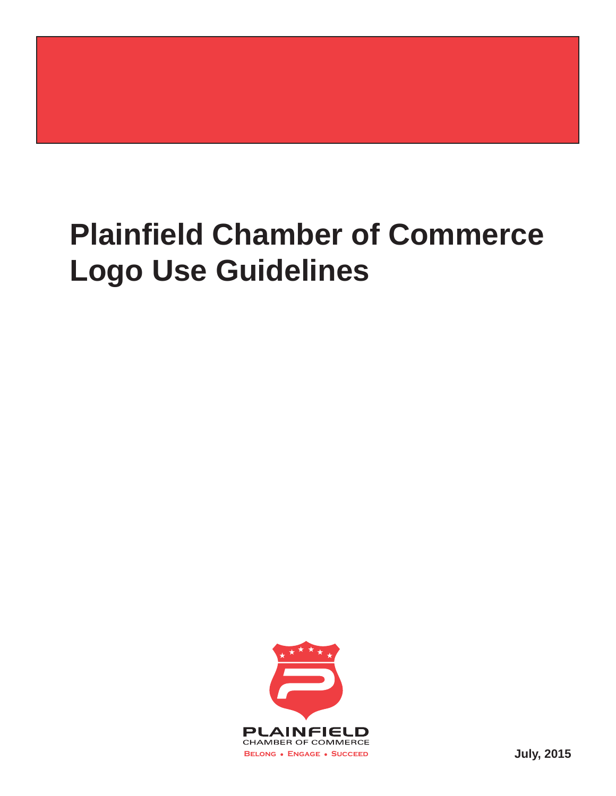# **Plainfield Chamber of Commerce Logo Use Guidelines**

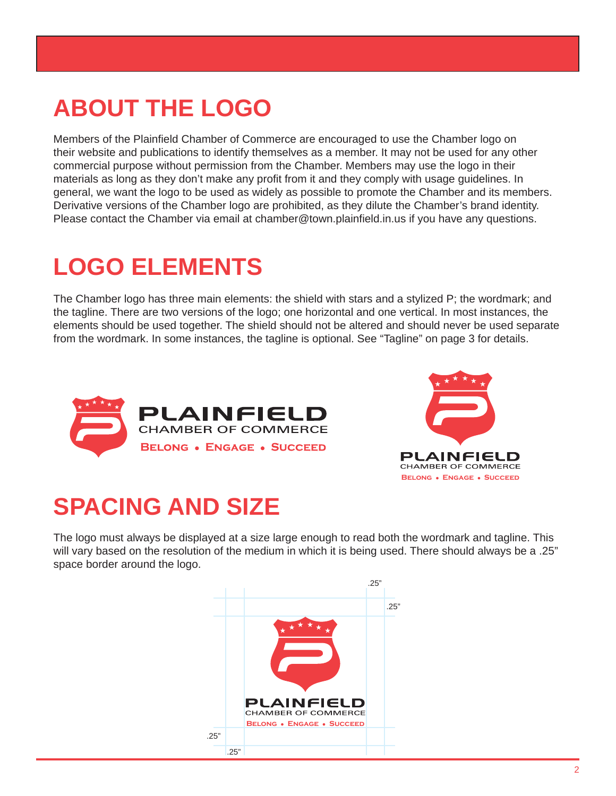#### **ABOUT THE LOGO**

Members of the Plainfield Chamber of Commerce are encouraged to use the Chamber logo on their website and publications to identify themselves as a member. It may not be used for any other commercial purpose without permission from the Chamber. Members may use the logo in their materials as long as they don't make any profit from it and they comply with usage guidelines. In general, we want the logo to be used as widely as possible to promote the Chamber and its members. Derivative versions of the Chamber logo are prohibited, as they dilute the Chamber's brand identity. Please contact the Chamber via email at chamber@town.plainfield.in.us if you have any questions.

#### **LOGO ELEMENTS**

The Chamber logo has three main elements: the shield with stars and a stylized P; the wordmark; and the tagline. There are two versions of the logo; one horizontal and one vertical. In most instances, the elements should be used together. The shield should not be altered and should never be used separate from the wordmark. In some instances, the tagline is optional. See "Tagline" on page 3 for details.





## **SPACING AND SIZE**

The logo must always be displayed at a size large enough to read both the wordmark and tagline. This will vary based on the resolution of the medium in which it is being used. There should always be a .25" space border around the logo.

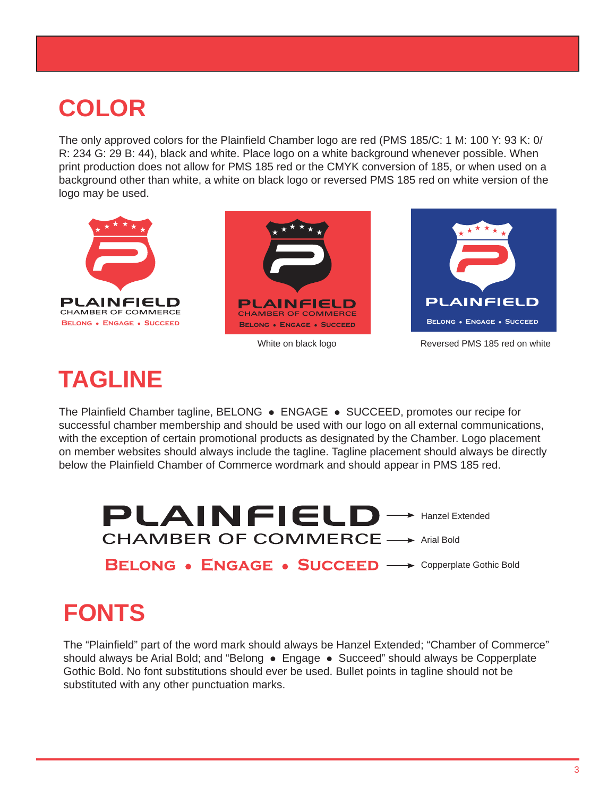### **COLOR**

The only approved colors for the Plainfield Chamber logo are red (PMS 185/C: 1 M: 100 Y: 93 K: 0/ R: 234 G: 29 B: 44), black and white. Place logo on a white background whenever possible. When print production does not allow for PMS 185 red or the CMYK conversion of 185, or when used on a background other than white, a white on black logo or reversed PMS 185 red on white version of the logo may be used.



#### **TAGLINE**

The Plainfield Chamber tagline, BELONG . ENGAGE . SUCCEED, promotes our recipe for successful chamber membership and should be used with our logo on all external communications, with the exception of certain promotional products as designated by the Chamber. Logo placement on member websites should always include the tagline. Tagline placement should always be directly below the Plainfield Chamber of Commerce wordmark and should appear in PMS 185 red.



### **FONTS**

The "Plainfield" part of the word mark should always be Hanzel Extended; "Chamber of Commerce" should always be Arial Bold; and "Belong • Engage • Succeed" should always be Copperplate Gothic Bold. No font substitutions should ever be used. Bullet points in tagline should not be substituted with any other punctuation marks.